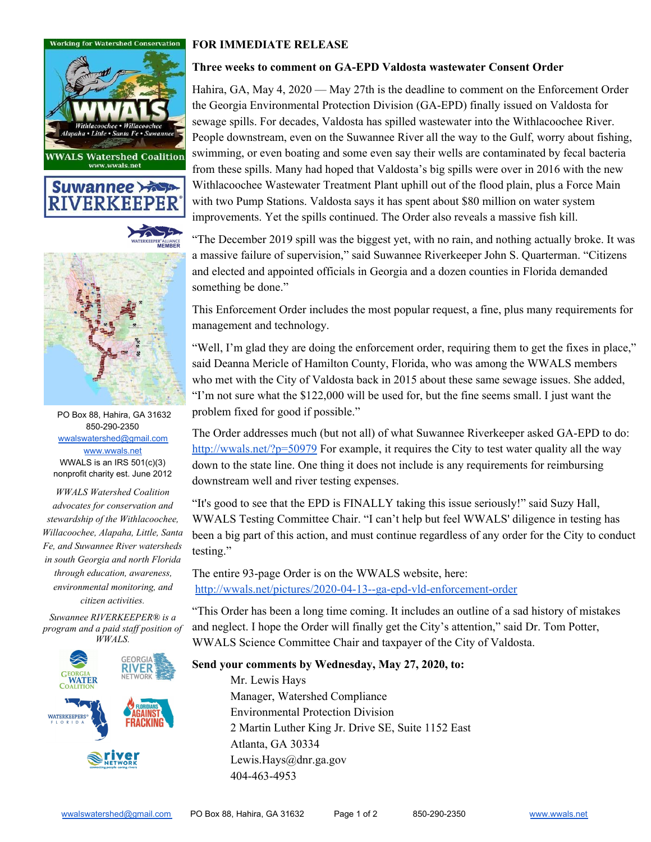







PO Box 88, Hahira, GA 31632 850-290-2350 [wwalswatershed@gmail.com](mailto:wwalswatershed@gmail.com) [www.wwals.net](http://www.wwals.net/) WWALS is an IRS 501(c)(3) nonprofit charity est. June 2012

*WWALS Watershed Coalition advocates for conservation and stewardship of the Withlacoochee, Willacoochee, Alapaha, Little, Santa Fe, and Suwannee River watersheds in south Georgia and north Florida through education, awareness, environmental monitoring, and citizen activities.*

*Suwannee RIVERKEEPER® is a program and a paid staff position of WWALS.*



## **FOR IMMEDIATE RELEASE**

## **Three weeks to comment on GA-EPD Valdosta wastewater Consent Order**

Hahira, GA, May 4, 2020 — May 27th is the deadline to comment on the Enforcement Order the Georgia Environmental Protection Division (GA-EPD) finally issued on Valdosta for sewage spills. For decades, Valdosta has spilled wastewater into the Withlacoochee River. People downstream, even on the Suwannee River all the way to the Gulf, worry about fishing, swimming, or even boating and some even say their wells are contaminated by fecal bacteria from these spills. Many had hoped that Valdosta's big spills were over in 2016 with the new Withlacoochee Wastewater Treatment Plant uphill out of the flood plain, plus a Force Main with two Pump Stations. Valdosta says it has spent about \$80 million on water system improvements. Yet the spills continued. The Order also reveals a massive fish kill.

"The December 2019 spill was the biggest yet, with no rain, and nothing actually broke. It was a massive failure of supervision," said Suwannee Riverkeeper John S. Quarterman. "Citizens and elected and appointed officials in Georgia and a dozen counties in Florida demanded something be done."

This Enforcement Order includes the most popular request, a fine, plus many requirements for management and technology.

"Well, I'm glad they are doing the enforcement order, requiring them to get the fixes in place," said Deanna Mericle of Hamilton County, Florida, who was among the WWALS members who met with the City of Valdosta back in 2015 about these same sewage issues. She added, "I'm not sure what the \$122,000 will be used for, but the fine seems small. I just want the problem fixed for good if possible."

The Order addresses much (but not all) of what Suwannee Riverkeeper asked GA-EPD to do: <http://wwals.net/?p=50979> For example, it requires the City to test water quality all the way down to the state line. One thing it does not include is any requirements for reimbursing downstream well and river testing expenses.

"It's good to see that the EPD is FINALLY taking this issue seriously!" said Suzy Hall, WWALS Testing Committee Chair. "I can't help but feel WWALS' diligence in testing has been a big part of this action, and must continue regardless of any order for the City to conduct testing."

The entire 93-page Order is on the WWALS website, here: <http://wwals.net/pictures/2020-04-13--ga-epd-vld-enforcement-order>

"This Order has been a long time coming. It includes an outline of a sad history of mistakes and neglect. I hope the Order will finally get the City's attention," said Dr. Tom Potter, WWALS Science Committee Chair and taxpayer of the City of Valdosta.

## **Send your comments by Wednesday, May 27, 2020, to:**

Mr. Lewis Hays Manager, Watershed Compliance Environmental Protection Division 2 Martin Luther King Jr. Drive SE, Suite 1152 East Atlanta, GA 30334 Lewis.Hays@dnr.ga.gov 404-463-4953